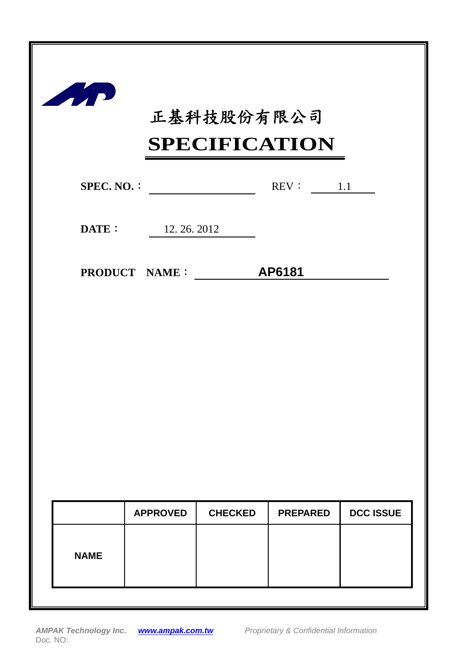

# 正基科技股份有限公司

## **SPECIFICATION**

|             | SPECIFICATION               |                |                 |                  |  |  |  |  |
|-------------|-----------------------------|----------------|-----------------|------------------|--|--|--|--|
|             | $SPEC. NO. : \n$            |                | REV: 1.1        |                  |  |  |  |  |
|             | <b>DATE:</b> $12.26.2012$   |                |                 |                  |  |  |  |  |
|             | <b>PRODUCT NAME:</b> AP6181 |                |                 |                  |  |  |  |  |
|             |                             |                |                 |                  |  |  |  |  |
|             |                             |                |                 |                  |  |  |  |  |
|             |                             |                |                 |                  |  |  |  |  |
|             |                             |                |                 |                  |  |  |  |  |
|             |                             |                |                 |                  |  |  |  |  |
|             | <b>APPROVED</b>             | <b>CHECKED</b> | <b>PREPARED</b> | <b>DCC ISSUE</b> |  |  |  |  |
| <b>NAME</b> |                             |                |                 |                  |  |  |  |  |
|             |                             |                |                 |                  |  |  |  |  |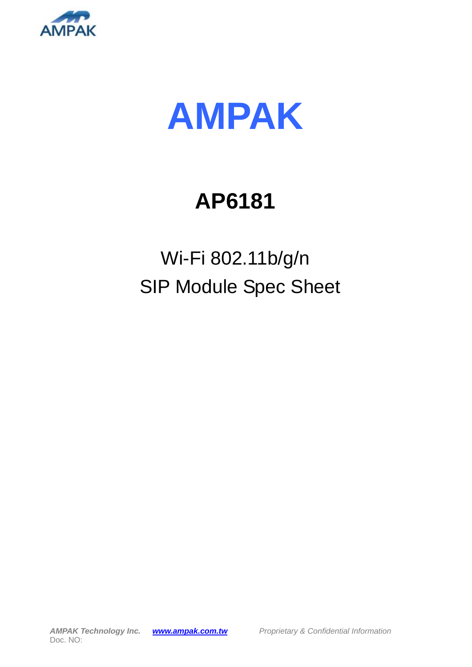



# **AP6181**

# Wi-Fi 802.11b/g/n SIP Module Spec Sheet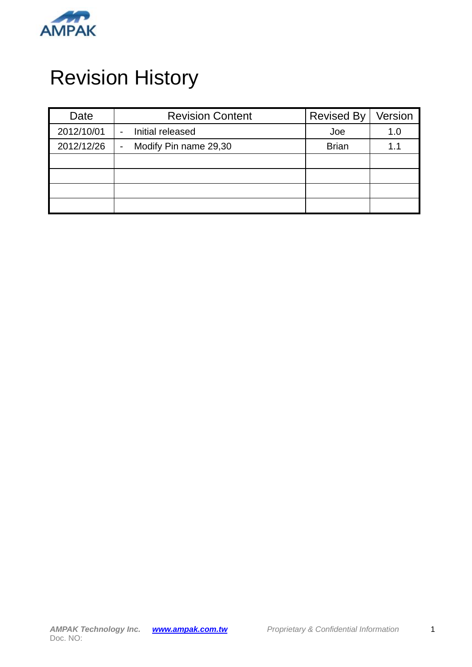

## Revision History

| Date       | <b>Revision Content</b>                 | <b>Revised By</b> | Version |
|------------|-----------------------------------------|-------------------|---------|
| 2012/10/01 | Initial released                        | Joe               | 1.0     |
| 2012/12/26 | Modify Pin name 29,30<br>$\blacksquare$ | <b>Brian</b>      | 1.1     |
|            |                                         |                   |         |
|            |                                         |                   |         |
|            |                                         |                   |         |
|            |                                         |                   |         |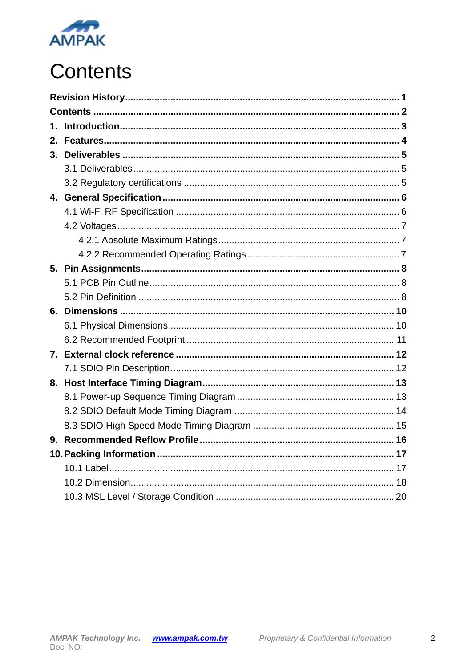

# **Contents**

| 2. |  |
|----|--|
|    |  |
|    |  |
|    |  |
|    |  |
|    |  |
|    |  |
|    |  |
|    |  |
|    |  |
|    |  |
|    |  |
|    |  |
|    |  |
|    |  |
|    |  |
|    |  |
|    |  |
|    |  |
|    |  |
|    |  |
|    |  |
|    |  |
|    |  |
|    |  |
|    |  |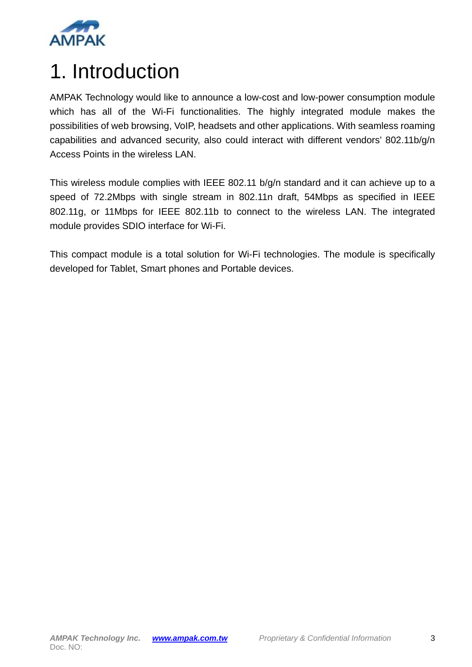

## 1. Introduction

AMPAK Technology would like to announce a low-cost and low-power consumption module which has all of the Wi-Fi functionalities. The highly integrated module makes the possibilities of web browsing, VoIP, headsets and other applications. With seamless roaming capabilities and advanced security, also could interact with different vendors' 802.11b/g/n Access Points in the wireless LAN.

This wireless module complies with IEEE 802.11 b/g/n standard and it can achieve up to a speed of 72.2Mbps with single stream in 802.11n draft, 54Mbps as specified in IEEE 802.11g, or 11Mbps for IEEE 802.11b to connect to the wireless LAN. The integrated module provides SDIO interface for Wi-Fi.

This compact module is a total solution for Wi-Fi technologies. The module is specifically developed for Tablet, Smart phones and Portable devices.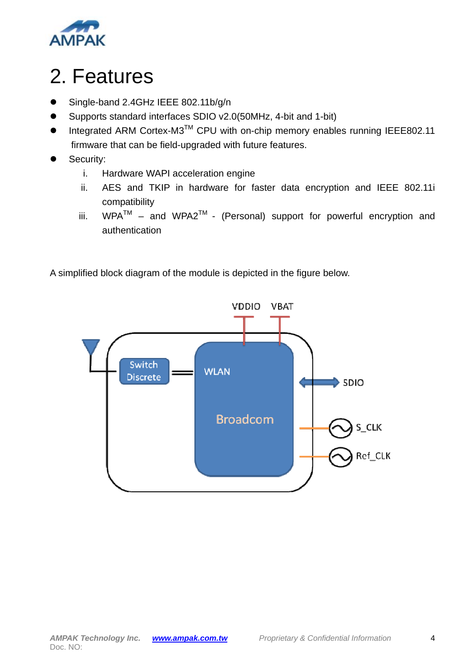

## 2. Features

- Single-band 2.4GHz IEEE 802.11b/g/n
- Supports standard interfaces SDIO v2.0(50MHz, 4-bit and 1-bit)
- $\bullet$  Integrated ARM Cortex-M3<sup>TM</sup> CPU with on-chip memory enables running IEEE802.11 firmware that can be field-upgraded with future features.
- Security:
	- i. Hardware WAPI acceleration engine
	- ii. AES and TKIP in hardware for faster data encryption and IEEE 802.11i compatibility
	- iii.  $WPA^{TM}$  and  $WPA2^{TM}$  (Personal) support for powerful encryption and authentication

A simplified block diagram of the module is depicted in the figure below.

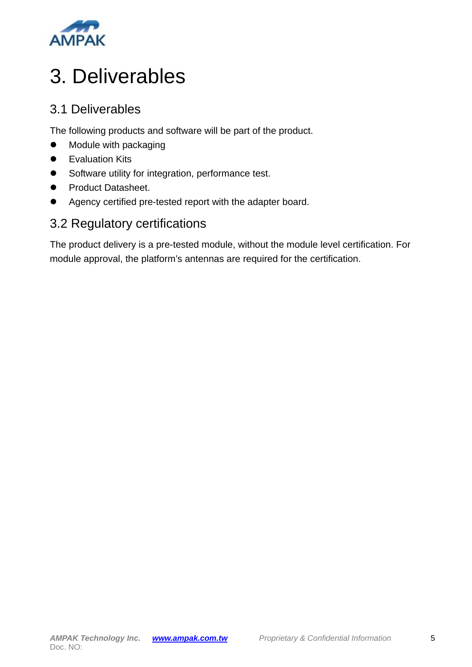

## 3. Deliverables

### 3.1 Deliverables

The following products and software will be part of the product.

- Module with packaging
- Evaluation Kits
- Software utility for integration, performance test.
- **•** Product Datasheet.
- Agency certified pre-tested report with the adapter board.

### 3.2 Regulatory certifications

The product delivery is a pre-tested module, without the module level certification. For module approval, the platform's antennas are required for the certification.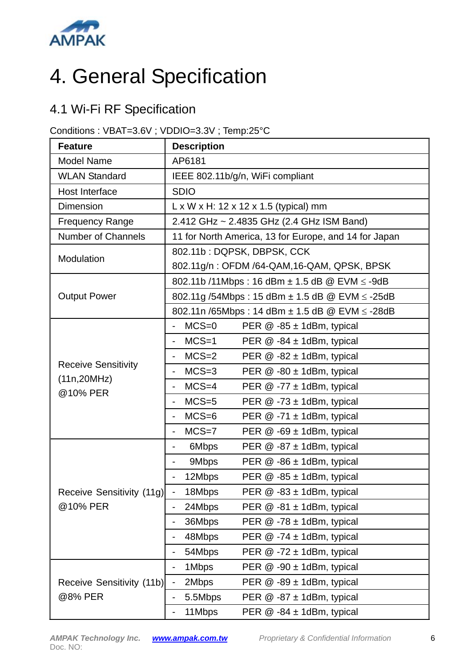

# 4. General Specification

### 4.1 Wi-Fi RF Specification

#### Conditions : VBAT=3.6V ; VDDIO=3.3V ; Temp:25°C

| <b>Feature</b>             | <b>Description</b>                                                        |  |  |  |  |
|----------------------------|---------------------------------------------------------------------------|--|--|--|--|
| <b>Model Name</b>          | AP6181                                                                    |  |  |  |  |
| <b>WLAN Standard</b>       | IEEE 802.11b/g/n, WiFi compliant                                          |  |  |  |  |
| Host Interface             | <b>SDIO</b>                                                               |  |  |  |  |
| <b>Dimension</b>           | $L \times W \times H$ : 12 x 12 x 1.5 (typical) mm                        |  |  |  |  |
| <b>Frequency Range</b>     | 2.412 GHz ~ 2.4835 GHz (2.4 GHz ISM Band)                                 |  |  |  |  |
| <b>Number of Channels</b>  | 11 for North America, 13 for Europe, and 14 for Japan                     |  |  |  |  |
| Modulation                 | 802.11b: DQPSK, DBPSK, CCK                                                |  |  |  |  |
|                            | 802.11g/n: OFDM /64-QAM, 16-QAM, QPSK, BPSK                               |  |  |  |  |
|                            | 802.11b /11Mbps : 16 dBm ± 1.5 dB @ EVM ≤ -9dB                            |  |  |  |  |
| <b>Output Power</b>        | 802.11g /54Mbps : 15 dBm ± 1.5 dB @ EVM ≤ -25dB                           |  |  |  |  |
|                            | 802.11n /65Mbps : 14 dBm ± 1.5 dB @ EVM ≤ -28dB                           |  |  |  |  |
|                            | $MCS=0$<br>PER $@ -85 \pm 1dBr$ , typical                                 |  |  |  |  |
|                            | $MCS=1$<br>PER $@ - 84 \pm 1$ dBm, typical                                |  |  |  |  |
|                            | $MCS=2$<br>PER $@ -82 \pm 1dBr$ , typical<br>$\qquad \qquad \blacksquare$ |  |  |  |  |
| <b>Receive Sensitivity</b> | $MCS=3$<br>PER $@ -80 \pm 1$ dBm, typical<br>$\qquad \qquad \blacksquare$ |  |  |  |  |
| (11n, 20MHz)<br>@10% PER   | $MCS=4$<br>PER $@ -77 \pm 1$ dBm, typical<br>$\overline{\phantom{0}}$     |  |  |  |  |
|                            | $MCS=5$<br>PER $@ - 73 \pm 1$ dBm, typical<br>$\overline{\phantom{0}}$    |  |  |  |  |
|                            | $MCS=6$<br>PER $@ -71 \pm 1dBr$ , typical                                 |  |  |  |  |
|                            | $MCS=7$<br>PER @ -69 ± 1dBm, typical                                      |  |  |  |  |
|                            | 6Mbps<br>PER $@ -87 \pm 1dBr$ , typical<br>-                              |  |  |  |  |
|                            | 9Mbps<br>PER $@ -86 \pm 1d$ Bm, typical<br>-                              |  |  |  |  |
|                            | 12Mbps<br>PER $@ -85 \pm 1d$ Bm, typical                                  |  |  |  |  |
| Receive Sensitivity (11g)  | 18Mbps<br>PER @ -83 ± 1dBm, typical                                       |  |  |  |  |
| @10% PER                   | 24Mbps<br>PER @ -81 ± 1dBm, typical<br>-                                  |  |  |  |  |
|                            | 36Mbps<br>PER $@ -78 \pm 1$ dBm, typical<br>-                             |  |  |  |  |
|                            | 48Mbps<br>PER $@ -74 \pm 1$ dBm, typical<br>-                             |  |  |  |  |
|                            | 54Mbps<br>PER $@ -72 \pm 1dBr$ , typical<br>$\overline{\phantom{0}}$      |  |  |  |  |
|                            | 1Mbps<br>PER $@.90 \pm 1$ dBm, typical<br>$\overline{\phantom{0}}$        |  |  |  |  |
| Receive Sensitivity (11b)  | PER $@ -89 \pm 1dBr$ , typical<br>2Mbps<br>$\overline{\phantom{0}}$       |  |  |  |  |
| @8% PER                    | 5.5Mbps<br>PER $@ -87 \pm 1dBr$ , typical<br>-                            |  |  |  |  |
|                            | 11Mbps<br>PER $@ - 84 \pm 1$ dBm, typical                                 |  |  |  |  |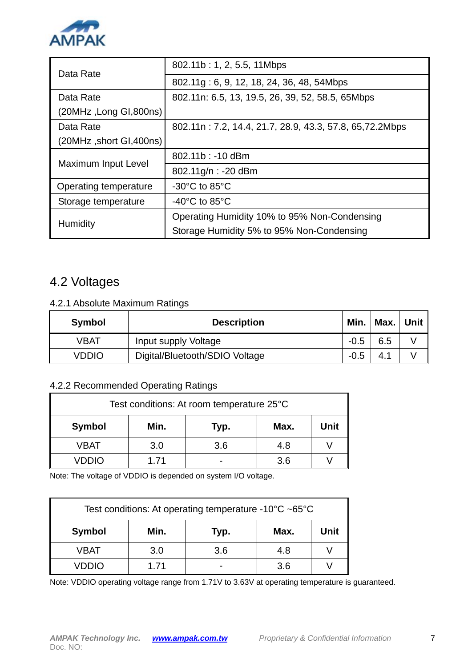

| Data Rate                | 802.11b: 1, 2, 5.5, 11Mbps                               |  |  |  |  |
|--------------------------|----------------------------------------------------------|--|--|--|--|
|                          | 802.11g: 6, 9, 12, 18, 24, 36, 48, 54Mbps                |  |  |  |  |
| Data Rate                | 802.11n: 6.5, 13, 19.5, 26, 39, 52, 58.5, 65Mbps         |  |  |  |  |
| (20MHz, Long GI,800ns)   |                                                          |  |  |  |  |
| Data Rate                | 802.11n: 7.2, 14.4, 21.7, 28.9, 43.3, 57.8, 65, 72.2Mbps |  |  |  |  |
| (20MHz, short GI, 400ns) |                                                          |  |  |  |  |
| Maximum Input Level      | 802.11b: -10 dBm                                         |  |  |  |  |
|                          | 802.11g/n: -20 dBm                                       |  |  |  |  |
| Operating temperature    | $-30^{\circ}$ C to 85 $^{\circ}$ C                       |  |  |  |  |
| Storage temperature      | $-40^{\circ}$ C to 85 $^{\circ}$ C                       |  |  |  |  |
|                          | Operating Humidity 10% to 95% Non-Condensing             |  |  |  |  |
| Humidity                 | Storage Humidity 5% to 95% Non-Condensing                |  |  |  |  |

### 4.2 Voltages

#### 4.2.1 Absolute Maximum Ratings

| Symbol | <b>Description</b>             |        | Min.   Max.   Unit $\parallel$ |  |
|--------|--------------------------------|--------|--------------------------------|--|
| VBAT   | Input supply Voltage           | $-0.5$ | 6.5                            |  |
| VDDIO  | Digital/Bluetooth/SDIO Voltage | $-0.5$ | 4.1                            |  |

#### 4.2.2 Recommended Operating Ratings

| Test conditions: At room temperature 25°C |                              |     |     |  |  |  |  |  |
|-------------------------------------------|------------------------------|-----|-----|--|--|--|--|--|
| <b>Symbol</b>                             | Min.<br>Unit<br>Max.<br>Typ. |     |     |  |  |  |  |  |
| VBAT                                      | 3.0                          | 3.6 | 4.8 |  |  |  |  |  |
| VDDIO                                     | 1.71                         |     | 3.6 |  |  |  |  |  |

Note: The voltage of VDDIO is depended on system I/O voltage.

| Test conditions: At operating temperature -10 $\degree$ C ~65 $\degree$ C |      |     |     |  |  |  |  |
|---------------------------------------------------------------------------|------|-----|-----|--|--|--|--|
| <b>Symbol</b><br>Min.<br>Unit<br>Max.<br>Typ.                             |      |     |     |  |  |  |  |
| VBAT                                                                      | 3.0  | 3.6 | 4.8 |  |  |  |  |
| VDDIO                                                                     | 1.71 |     | 3.6 |  |  |  |  |

Note: VDDIO operating voltage range from 1.71V to 3.63V at operating temperature is guaranteed.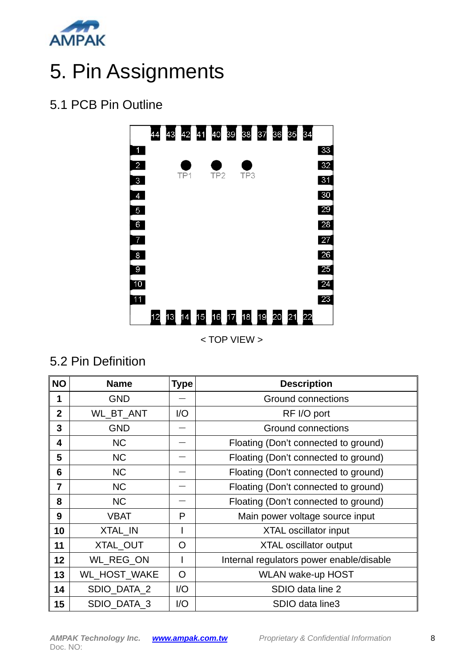

# 5. Pin Assignments

### 5.1 PCB Pin Outline



< TOP VIEW >

### 5.2 Pin Definition

| <b>NO</b>      | <b>Name</b>  | <b>Type</b> | <b>Description</b>                       |  |
|----------------|--------------|-------------|------------------------------------------|--|
| 1              | <b>GND</b>   |             | <b>Ground connections</b>                |  |
| $\overline{2}$ | WL_BT_ANT    | 1/O         | RF I/O port                              |  |
| 3              | <b>GND</b>   |             | Ground connections                       |  |
| 4              | <b>NC</b>    |             | Floating (Don't connected to ground)     |  |
| 5              | <b>NC</b>    |             | Floating (Don't connected to ground)     |  |
| 6              | <b>NC</b>    |             | Floating (Don't connected to ground)     |  |
| 7              | <b>NC</b>    |             | Floating (Don't connected to ground)     |  |
| 8              | <b>NC</b>    |             | Floating (Don't connected to ground)     |  |
| 9              | <b>VBAT</b>  | P           | Main power voltage source input          |  |
| 10             | XTAL IN      |             | <b>XTAL oscillator input</b>             |  |
| 11             | XTAL_OUT     | O           | <b>XTAL oscillator output</b>            |  |
| 12             | WL REG ON    |             | Internal regulators power enable/disable |  |
| 13             | WL_HOST_WAKE | O           | <b>WLAN wake-up HOST</b>                 |  |
| 14             | SDIO_DATA_2  | 1/O         | SDIO data line 2                         |  |
| 15             | SDIO DATA 3  | 1/O         | SDIO data line3                          |  |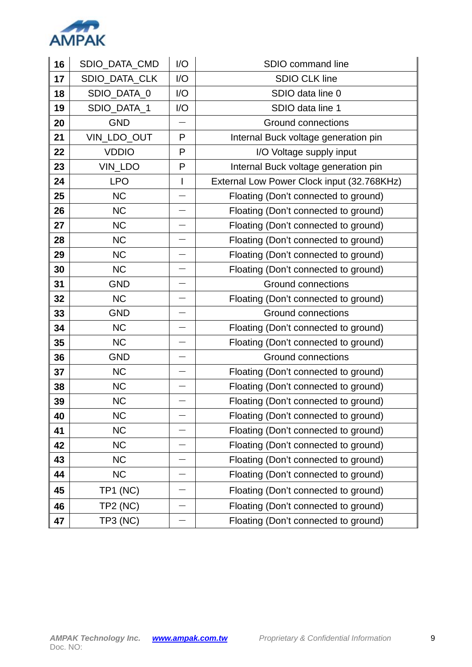

| 16 | SDIO_DATA_CMD   | I/O          | SDIO command line                          |  |  |
|----|-----------------|--------------|--------------------------------------------|--|--|
| 17 | SDIO_DATA_CLK   | I/O          | <b>SDIO CLK line</b>                       |  |  |
| 18 | SDIO_DATA_0     | I/O          | SDIO data line 0                           |  |  |
| 19 | SDIO_DATA_1     | I/O          | SDIO data line 1                           |  |  |
| 20 | <b>GND</b>      |              | <b>Ground connections</b>                  |  |  |
| 21 | VIN_LDO_OUT     | P            | Internal Buck voltage generation pin       |  |  |
| 22 | <b>VDDIO</b>    | P            | I/O Voltage supply input                   |  |  |
| 23 | VIN_LDO         | P            | Internal Buck voltage generation pin       |  |  |
| 24 | <b>LPO</b>      | $\mathsf{I}$ | External Low Power Clock input (32.768KHz) |  |  |
| 25 | <b>NC</b>       |              | Floating (Don't connected to ground)       |  |  |
| 26 | <b>NC</b>       |              | Floating (Don't connected to ground)       |  |  |
| 27 | <b>NC</b>       |              | Floating (Don't connected to ground)       |  |  |
| 28 | <b>NC</b>       |              | Floating (Don't connected to ground)       |  |  |
| 29 | <b>NC</b>       |              | Floating (Don't connected to ground)       |  |  |
| 30 | <b>NC</b>       |              | Floating (Don't connected to ground)       |  |  |
| 31 | <b>GND</b>      |              | <b>Ground connections</b>                  |  |  |
| 32 | <b>NC</b>       |              | Floating (Don't connected to ground)       |  |  |
| 33 | <b>GND</b>      |              | <b>Ground connections</b>                  |  |  |
| 34 | <b>NC</b>       |              | Floating (Don't connected to ground)       |  |  |
| 35 | <b>NC</b>       |              | Floating (Don't connected to ground)       |  |  |
| 36 | <b>GND</b>      |              | Ground connections                         |  |  |
| 37 | <b>NC</b>       |              | Floating (Don't connected to ground)       |  |  |
| 38 | <b>NC</b>       |              | Floating (Don't connected to ground)       |  |  |
| 39 | <b>NC</b>       |              | Floating (Don't connected to ground)       |  |  |
| 40 | <b>NC</b>       |              | Floating (Don't connected to ground)       |  |  |
| 41 | <b>NC</b>       |              | Floating (Don't connected to ground)       |  |  |
| 42 | <b>NC</b>       |              | Floating (Don't connected to ground)       |  |  |
| 43 | <b>NC</b>       |              | Floating (Don't connected to ground)       |  |  |
| 44 | <b>NC</b>       |              | Floating (Don't connected to ground)       |  |  |
| 45 | <b>TP1 (NC)</b> |              | Floating (Don't connected to ground)       |  |  |
| 46 | <b>TP2 (NC)</b> |              | Floating (Don't connected to ground)       |  |  |
| 47 | <b>TP3 (NC)</b> |              | Floating (Don't connected to ground)       |  |  |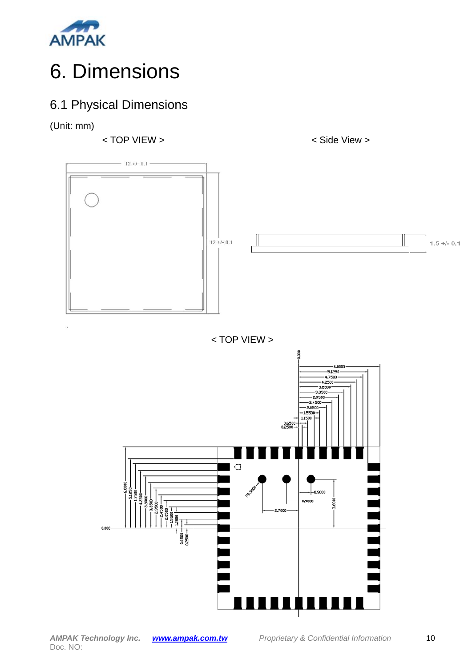

# 6. Dimensions

### 6.1 Physical Dimensions

(Unit: mm)

< TOP VIEW > < Side View >



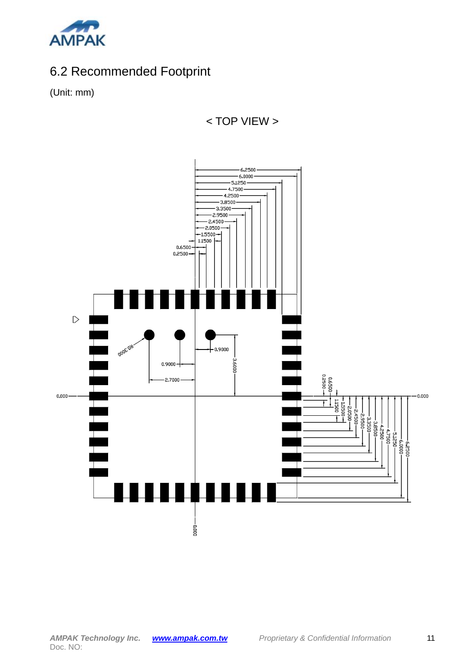

### 6.2 Recommended Footprint

(Unit: mm)



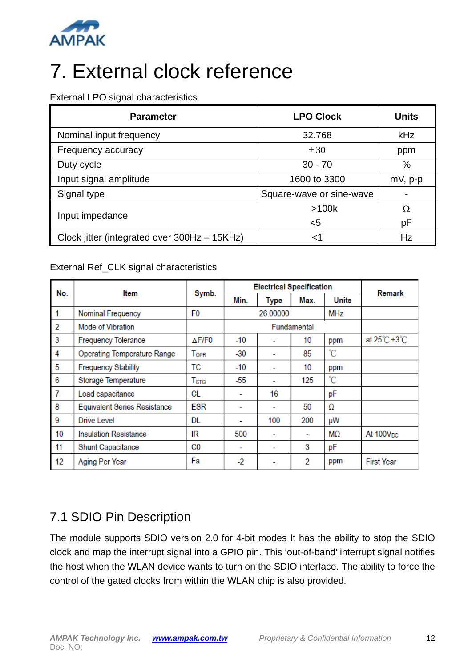

# 7. External clock reference

External LPO signal characteristics

| <b>Parameter</b>                             | <b>LPO Clock</b>         | <b>Units</b> |
|----------------------------------------------|--------------------------|--------------|
| Nominal input frequency                      | 32.768                   | kHz          |
| Frequency accuracy                           | $\pm 30$                 | ppm          |
| Duty cycle                                   | $30 - 70$                | %            |
| Input signal amplitude                       | 1600 to 3300             | $mV$ , p-p   |
| Signal type                                  | Square-wave or sine-wave |              |
|                                              | >100k                    | Ω            |
| Input impedance                              | $5$                      | рF           |
| Clock jitter (integrated over 300Hz - 15KHz) | ا>                       | Hz           |

#### External Ref\_CLK signal characteristics

| No.            | Item                                | Symb.                     | <b>Electrical Specification</b> |             |             |       | Remark                              |
|----------------|-------------------------------------|---------------------------|---------------------------------|-------------|-------------|-------|-------------------------------------|
|                |                                     |                           | Min.                            | <b>Type</b> | Max.        | Units |                                     |
| 1              | Nominal Frequency                   | F <sub>0</sub>            |                                 | 26,00000    |             | MHz   |                                     |
| $\overline{2}$ | Mode of Vibration                   |                           |                                 |             | Fundamental |       |                                     |
| 3              | <b>Frequency Tolerance</b>          | ∆F/F0                     | $-10$                           |             | 10          | ppm   | at $25^{\circ}$ C $\pm 3^{\circ}$ C |
| 4              | <b>Operating Temperature Range</b>  | Topr                      | $-30$                           |             | 85          | °C    |                                     |
| 5              | <b>Frequency Stability</b>          | ТC                        | -10                             |             | 10          | ppm   |                                     |
| 6              | Storage Temperature                 | $\mathsf{T}_{\text{STG}}$ | -55                             |             | 125         | °C    |                                     |
| $\overline{7}$ | Load capacitance                    | CL                        | $\overline{\phantom{a}}$        | 16          |             | рF    |                                     |
| 8              | <b>Equivalent Series Resistance</b> | ESR                       |                                 | -           | 50          | Ω     |                                     |
| 9              | Drive Level                         | DL                        |                                 | 100         | 200         | μW    |                                     |
| 10             | <b>Insulation Resistance</b>        | IR                        | 500                             | ۰           | ٠           | MΩ    | At $100V_{DC}$                      |
| 11             | <b>Shunt Capacitance</b>            | C0                        | ٠                               | -           | 3           | pF    |                                     |
| 12             | Aging Per Year                      | Fa                        | $-2$                            | ۰           | 2           | ppm   | <b>First Year</b>                   |

### 7.1 SDIO Pin Description

The module supports SDIO version 2.0 for 4-bit modes It has the ability to stop the SDIO clock and map the interrupt signal into a GPIO pin. This 'out-of-band' interrupt signal notifies the host when the WLAN device wants to turn on the SDIO interface. The ability to force the control of the gated clocks from within the WLAN chip is also provided.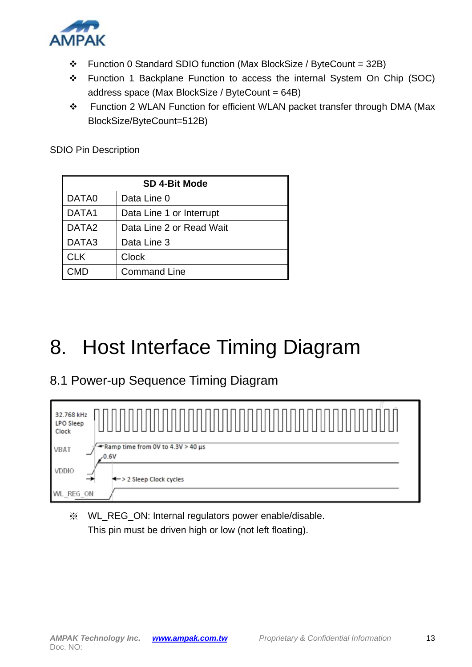

- $\div$  Function 0 Standard SDIO function (Max BlockSize / ByteCount = 32B)
- \* Function 1 Backplane Function to access the internal System On Chip (SOC) address space (Max BlockSize / ByteCount = 64B)
- Function 2 WLAN Function for efficient WLAN packet transfer through DMA (Max BlockSize/ByteCount=512B)

SDIO Pin Description

| <b>SD 4-Bit Mode</b> |                          |  |
|----------------------|--------------------------|--|
| DATA0                | Data Line 0              |  |
| DATA1                | Data Line 1 or Interrupt |  |
| DATA <sub>2</sub>    | Data Line 2 or Read Wait |  |
| DATA3                | Data Line 3              |  |
| <b>CLK</b>           | <b>Clock</b>             |  |
| CMD                  | <b>Command Line</b>      |  |

# 8. Host Interface Timing Diagram

### 8.1 Power-up Sequence Timing Diagram



※ WL\_REG\_ON: Internal regulators power enable/disable. This pin must be driven high or low (not left floating).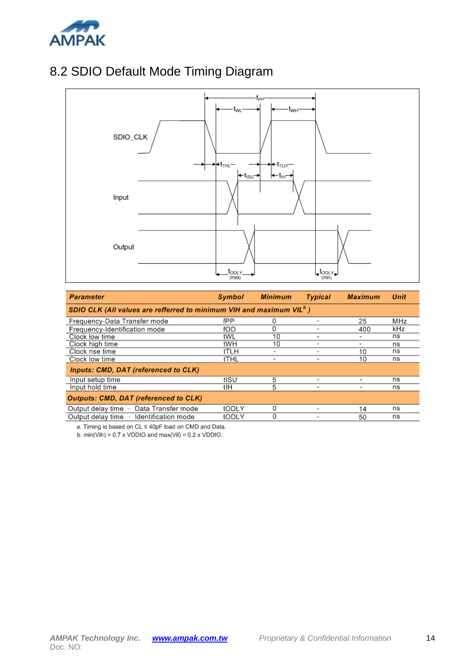

### 8.2 SDIO Default Mode Timing Diagram



| <b>Parameter</b>                                                         | Symbol | <b>Minimum</b> | <b>Typical</b>           | <b>Maximum</b>           | <b>Unit</b> |
|--------------------------------------------------------------------------|--------|----------------|--------------------------|--------------------------|-------------|
| SDIO CLK (All values are refferred to minimum VIH and maximum VIL $^b$ ) |        |                |                          |                          |             |
| Frequency-Data Transfer mode                                             | fPP    | 0              |                          | 25                       | MHz         |
| Frequency-Identification mode                                            | fOD    | 0              |                          | 400                      | kHz         |
| Clock low time                                                           | tWL    | 10             |                          |                          | ns          |
| Clock high time                                                          | tWH    | 10             |                          | -                        | ns          |
| Clock rise time                                                          | tTLH   | ۰              |                          | 10                       | ns          |
| Clock low time                                                           | tTHL   | ۰              | $\blacksquare$           | 10                       | ns          |
| Inputs: CMD, DAT (referenced to CLK)                                     |        |                |                          |                          |             |
| Input setup time                                                         | tISU   | 5              | $\overline{\phantom{a}}$ | $\overline{\phantom{a}}$ | ns          |
| Input hold time                                                          | tlH    | 5              | ٠                        | $\overline{\phantom{a}}$ | ns          |
| <b>Outputs: CMD, DAT (referenced to CLK)</b>                             |        |                |                          |                          |             |
| Output delay time - Data Transfer mode                                   | tODLY  | N              |                          | 14                       | ns          |
| Output delay time - Identification mode                                  | tODLY  | 0              |                          | 50                       | ns          |

a. Timing is based on CL ≤ 40pF load on CMD and Data.

b.  $min(Vih) = 0.7 \times VDDIO$  and  $max(Vil) = 0.2 \times VDDIO$ .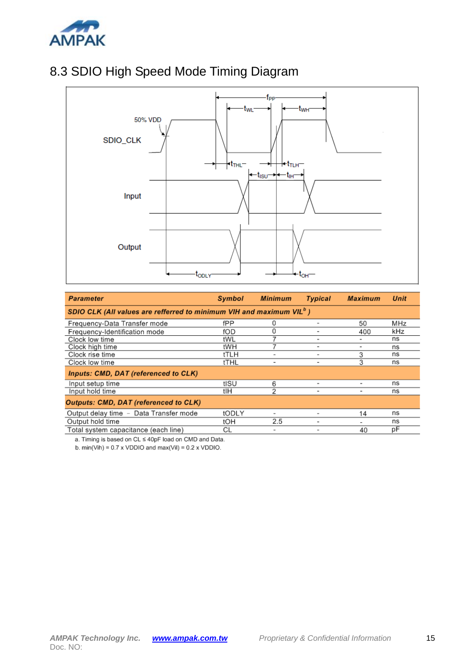

### 8.3 SDIO High Speed Mode Timing Diagram



| <b>Parameter</b>                                                                 | Symbol | <b>Minimum</b> | <b>Typical</b> | <b>Maximum</b>               | <b>Unit</b> |
|----------------------------------------------------------------------------------|--------|----------------|----------------|------------------------------|-------------|
| SDIO CLK (All values are refferred to minimum VIH and maximum VIL <sup>o</sup> ) |        |                |                |                              |             |
| Frequency-Data Transfer mode                                                     | fPP    | 0              |                | 50                           | MHz         |
| Frequency-Identification mode                                                    | fOD    | 0              |                | 400                          | kHz         |
| Clock low time                                                                   | tWL    |                | ۰              |                              | ns          |
| Clock high time                                                                  | tWH    |                | ٠              | $\qquad \qquad \blacksquare$ | ns          |
| Clock rise time                                                                  | tTLH   |                | ۰              | 3                            | ns          |
| Clock low time                                                                   | tTHL   | $\,$           | ۰              | 3                            | ns          |
| Inputs: CMD, DAT (referenced to CLK)                                             |        |                |                |                              |             |
| Input setup time                                                                 | tISU   | 6              | ۰              | ۰                            | ns          |
| Input hold time                                                                  | tlH    | 2              | ۰              | ۰                            | ns          |
| <b>Outputs: CMD, DAT (referenced to CLK)</b>                                     |        |                |                |                              |             |
| Output delay time - Data Transfer mode                                           | tODLY  |                |                | 14                           | ns          |
| Output hold time                                                                 | tOH    | 2.5            |                | ٠                            | ns          |
| Total system capacitance (each line)                                             | СL     | ٠              |                | 40                           | рF          |

a. Timing is based on CL ≤ 40pF load on CMD and Data.

b.  $min(Vih) = 0.7 \times VDDIO$  and  $max(Vil) = 0.2 \times VDDIO$ .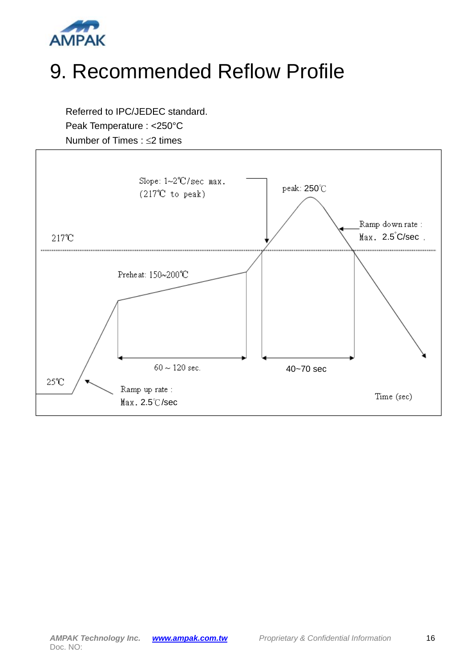

## 9. Recommended Reflow Profile

Referred to IPC/JEDEC standard. Peak Temperature : <250°C Number of Times :  $\leq$  times

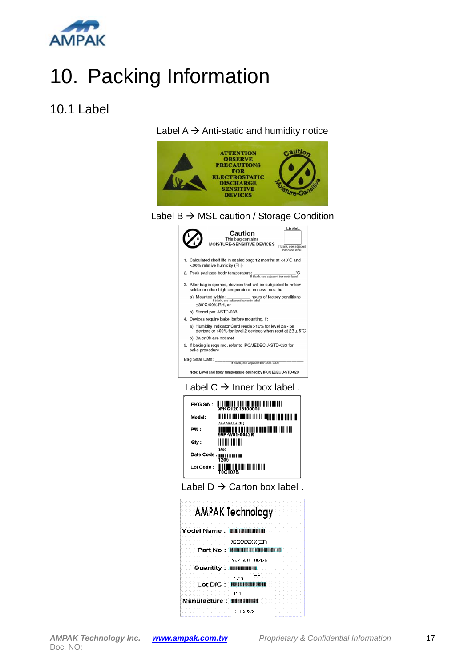

# 10. Packing Information

#### 10.1 Label



#### Label  $B \rightarrow MSL$  caution / Storage Condition





| PKG S/N:  | WAREH 2013100001                              |
|-----------|-----------------------------------------------|
| Model:    | XXXXXXXX(HF)                                  |
| P/N:      | TII III IIII IIII IIII<br>99P-W01-0042R       |
| Qty:      | 1500                                          |
| Date Code | 1205                                          |
| Lot Code: | I II II II II II II II II II II II<br>T0C102B |



| AMPAK Technology                   |                                                 |  |  |  |
|------------------------------------|-------------------------------------------------|--|--|--|
| Model Name: <b>IIIIIIIIIIIIIII</b> |                                                 |  |  |  |
|                                    | XXXXXXX(HF)<br>Part No : <b>INNININININININ</b> |  |  |  |
| Quantity : :                       | 99P-W01-0042R<br><b>BEBRIELENI</b>              |  |  |  |
|                                    | ex<br>7500<br>Lot D/C : HHIHHHHHHH              |  |  |  |
| Manufacture: <b>HISSISSI</b> II    | 1205                                            |  |  |  |
|                                    | 2012/02/22                                      |  |  |  |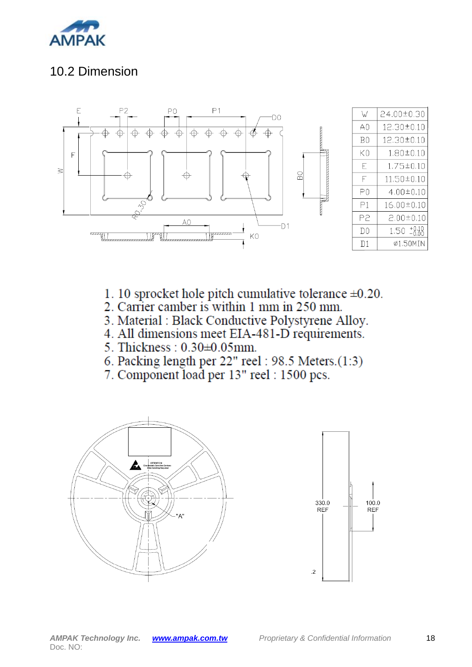

### 10.2 Dimension



- 1. 10 sprocket hole pitch cumulative tolerance  $\pm 0.20$ .
- 2. Carrier camber is within 1 mm in 250 mm.
- 3. Material : Black Conductive Polystyrene Alloy.
- 4. All dimensions meet EIA-481-D requirements.
- 5. Thickness: 0.30±0.05mm.
- 6. Packing length per 22" reel: 98.5 Meters.(1:3)
- 7. Component load per 13" reel: 1500 pcs.

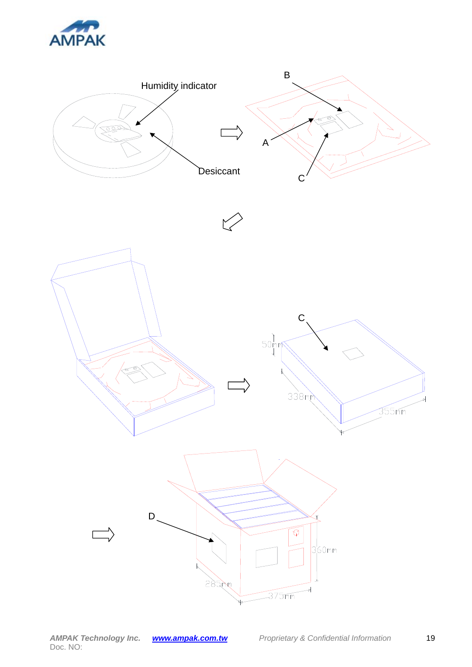